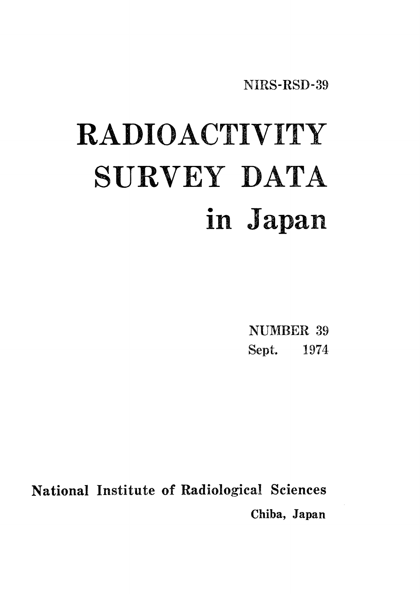NIRS-RSD-39

# RADIOACTIVITY SURVEY DATA in Japan

**NUMBER 39** Sept. 1974

National Institute of Radiological Sciences Chiba, Japan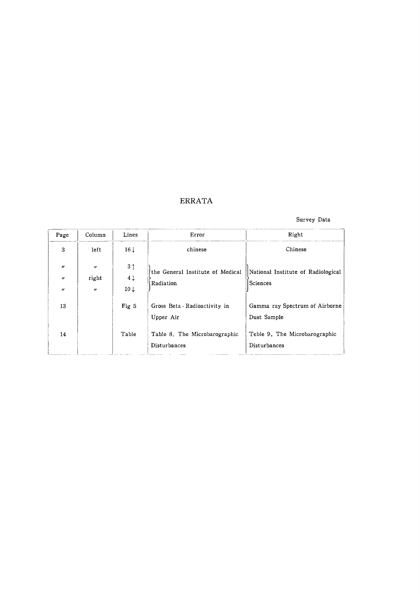#### ERRATA

#### Survey Data

| Page                                                        | Column                                                              | Lines                                               | Error                                         | Right                                          |
|-------------------------------------------------------------|---------------------------------------------------------------------|-----------------------------------------------------|-----------------------------------------------|------------------------------------------------|
| 3                                                           | left                                                                | 16 <sub>1</sub>                                     | chinese                                       | Chinese                                        |
| $^{\prime\prime}$<br>$^{\prime\prime}$<br>$^{\prime\prime}$ | $\boldsymbol{\prime\prime}$<br>right<br>$\boldsymbol{\prime\prime}$ | 3 <sup>†</sup><br>4 <sub>1</sub><br>$10 \downarrow$ | the General Institute of Medical<br>Radiation | National Institute of Radiological<br>Sciences |
| 13                                                          |                                                                     | Fig 5                                               | Gross Beta - Radioactivity in<br>Upper Air    | Gamma ray Spectrum of Airborne<br>Dust Sample  |
| 14                                                          |                                                                     | Table                                               | Table 8. The Microbarographic<br>Disturbances | Teble 9. The Microbarographic<br>Disturbances  |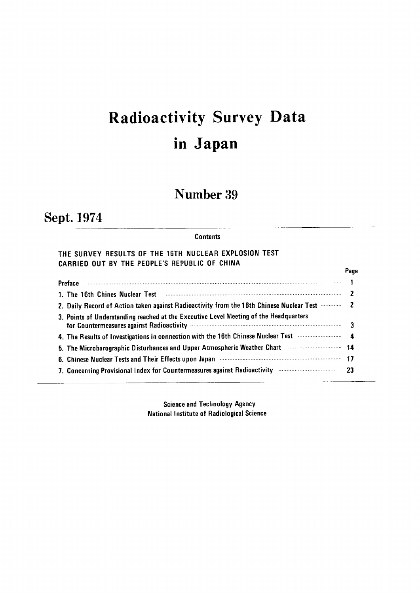# Radioactivity Survey Dat inJapan

# Number 39

# Sept.】974

#### **Contents**

#### THE SURVEY RESULTS OF THE 16TH NUCLEAR EXPLOSION TEST CARRIED OUT BY THE PEOPLE'S REPUBLIC OF CHINA

|                                                                                                            | Page |
|------------------------------------------------------------------------------------------------------------|------|
|                                                                                                            |      |
|                                                                                                            |      |
| 2. Daily Record of Action taken against Radioactivity from the 16th Chinese Nuclear Test <b>Constant 2</b> |      |
| 3. Points of Understanding reached at the Executive Level Meeting of the Headquarters                      |      |
| 4. The Results of Investigations in connection with the 16th Chinese Nuclear Test <b>Constitutions</b> 4   |      |
| 5. The Microbarographic Disturbances and Upper Atmospheric Weather Chart manufacture 14                    |      |
| 6. Chinese Nuclear Tests and Their Effects upon Japan <b>Communication Controller (1997</b>                |      |
| 7. Concerning Provisional Index for Countermeasures against Radioactivity manufactures and 23              |      |

Science and Technology Agency National Institute of Radiological Science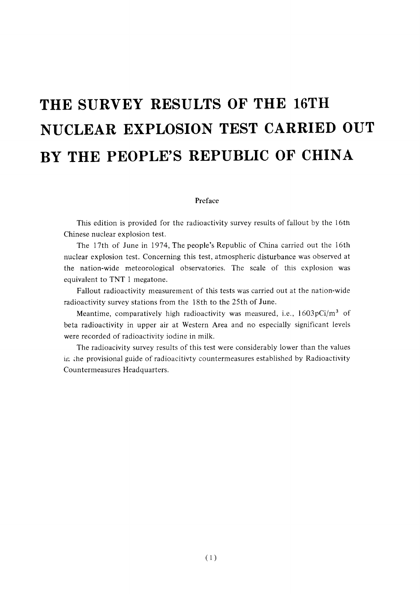# THE SURVEY RESULTS OF THE 16TH NUCLEAR EXPLOSION TEST CARRIED OUT BY THE PEOPLE'S REPUBLIC OF CHINA

#### Preface

This edition is provided for the radioactivity survey results of fallout by the 16th Chinese nuclear explosion test.

The 17th of June in 1974, The people's Republic of China carried out the 16th nuclear explosion test. Concerning this test, atmospheric disturbance was observed at the nation-wide meteorological observatories. The scale of this explosion was equivalent to TNT 1 megatone.

Fallout radioactivity measurement of this tests was carried out at the nation-wide radioactivity survey stations from the 18th to the 25th of June.

Meantime, comparatively high radioactivity was measured, i.e.,  $1603pCi/m^3$  of beta radioactivity in upper air at Western Area and no especially significant levels were recorded of radioactivity iodine in milk.

The radioacivity survey results of this test were considerably lower than the values in the provisional guide of radioacitivty countermeasures established by Radioactivity Countermeasures Headquarters.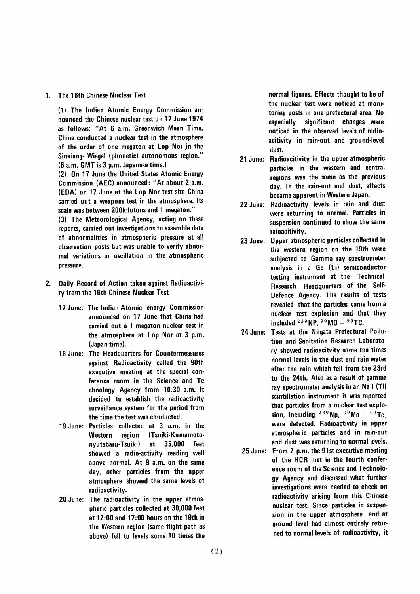#### 1. The 16th Chinese Nuclear Test

(1) The Indian Atomic Energy Commission announced the Chinese nuclear test on 17 June 1974 as follows: "At 6 a.m. Greenwich Mean Time, China conducted a nuclear test in the atmosphere of the order of one megaton at Lop Nor in the Sinkiang- Wiegel (phonetic) autonomous region." (6 a.m. GMT is 3 p.m. Japanese time.) (2) On 17 June the United States Atomic Energy Commission (AEC) announced: "At about 2 a.m. (EDA) on 17 June at the Lop Nor test site China carried out a weapons test in the atmosphere. Its

scale was between 200kilotons and 1 megaton." (3) The Meteorological Agency, acting on these reports, carried out investigations to assemble data of abnormalities in atmospheric pressure at all observation posts but was unable to verify abnormal variations or oscillation in the atmospheric pressure.

- 2. Daily Record of Action taken against Radioactivity from the 16th Chinese Nuclear Test
	- 17 June: The Indian Atomic energy Commission announced on 17 June that China had carried out a 1 megaton nuclear test in the atmosphere at Lop Nor at 3 p.m. (Japan time).
	- 18 June: The Headquarters for Countermeasures against Radioactivity called the 90th executive meeting at the special conference room in the Science and Te chnology Agency from 10.30 a.m. It decided to establish the radioactivity surveillance system for the period from the time the test was conducted.
	- 19 June: Particles collected at 3 a.m. in the (Tsuiki-Kumamoto-Western region 35,000 nyutabaru-Tsuiki) at feet showed a radio-activity reading well above normal. At 9 a.m. on the same day, other particles from the upper atmosphere showed the same levels of radioactivity.
	- 20 June: The radioactivity in the upper atmospheric particles collected at 30,000 feet at 12:00 and 17:00 hours on the 19th in the Western region (same flight path as above) fell to levels some 10 times the

normal figures. Effects thought to be of the nuclear test were noticed at monitoring posts in one prefectural area. No significant changes were especially noticed in the observed levels of radioacitivity in rain-out and ground-level dust.

- 21 June: Radioacitivity in the upper atmospheric particles in the western and central regions was the same as the previous day. In the rain-out and dust, effects became apparent in Western Japan.
- 22 June: Radioactivity levels in rain and dust were returning to normal. Particles in suspension continued to show the same raioacitivity.
- 23 June: Upper atmospheric particles collected in the western region on the 19th were subjected to Gamma ray spectrometer analysis in a Ge (Li) semiconductor testing instrument at the Technical Research Headquarters of the Self-Defence Agency. The results of tests revealed that the particles came from a nuclear test explosion and that they included  $^{239}$  NP,  $^{99}$  MO  $^{99}$ TC.
- 24 June: Tests at the Niigata Prefectural Pollution and Sanitation Research Laboratory showed radioacitvity some ten times normal levels in the dust and rain water after the rain which fell from the 23rd to the 24th. Also as a result of gamma ray spectrometer analysis in an Na I (TI) scintillation instrument it was reported that particles from a nuclear test explosion, including  $^{239}$ Np.  $^{99}$ Mo -  $^{99}$ Tc. were detected. Radioactivity in upper atmospheric particles and in rain-out and dust was returning to normal levels.
- 25 June: From 2 p.m. the 91st executive meeting of the HCR met in the fourth conference room of the Science and Technology Agency and discussed what further investigations were needed to check on radioactivity arising from this Chinese nuclear test. Since particles in suspension in the upper atmosphere and at ground level had almost entirely returned to normal levels of radioactivity, it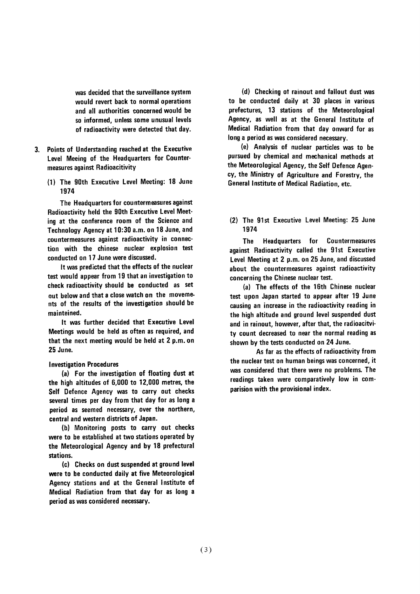was decided that the surveillance system would revert back to normal operations and all authorities concerned would be so informed, unless some unusual levels of radioactivity were detected that day.

- 3. Points of Understanding reached at the Executive Level Meeing of the Headquarters for Countermeasures against Radioacitivity
	- (1) The 90th Executive Level Meeting: 18 June 1974

The Headquarters for countermeasures against Radioactivity held the 90th Executive Level Meeting at the conference room of the Science and Technology Agency at 10:30 a.m. on 18 June, and countermeasures against radioactivity in connection with the chinese nuclear explosion test conducted on 17 June were discussed.

It was predicted that the effects of the nuclear test would appear from 19 that an investigation to check radioactivity should be conducted as set out below and that a close watch on the movements of the results of the investigation should be mainteined.

It was further decided that Executive Level Meetings would be held as often as required, and that the next meeting would be held at 2 p.m. on 25 June.

#### **Investigation Procedures**

(a) For the investigation of floating dust at the high altitudes of 6,000 to 12,000 metres, the Self Defence Agency was to carry out checks several times per day from that day for as long a period as seemed necessary, over the northern, central and western districts of Japan.

(b) Monitoring posts to carry out checks were to be established at two stations operated by the Meteorological Agency and by 18 prefectural stations.

(c) Checks on dust suspended at ground level were to be conducted daily at five Meteorological Agency stations and at the General Institute of Medical Radiation from that day for as long a period as was considered necessary.

(d) Checking of rainout and fallout dust was to be conducted daily at 30 places in various prefectures, 13 stations of the Meteorological Agency, as well as at the General Institute of Medical Radiation from that day onward for as long a period as was considered necessary.

(e) Analysis of nuclear particles was to be pursued by chemical and mechanical methods at the Meteorological Agency, the Self Defence Agency, the Ministry of Agriculture and Forestry, the General Institute of Medical Radiation, etc.

(2) The 91st Executive Level Meeting: 25 June 1974

Headquarters for Countermeasures **The** against Radioactivity called the 91st Executive Level Meeting at 2 p.m. on 25 June, and discussed about the countermeasures against radioactivity concerning the Chinese nuclear test.

(a) The effects of the 16th Chinese nuclear test upon Japan started to appear after 19 June causing an increase in the radioactivity reading in the high altitude and ground level suspended dust and in rainout, however, after that, the radioacitvity count decreased to near the normal reading as shown by the tests conducted on 24 June.

As far as the effects of radioactivity from the nuclear test on human beings was concerned, it was considered that there were no problems. The readings taken were comparatively low in comparision with the provisional index.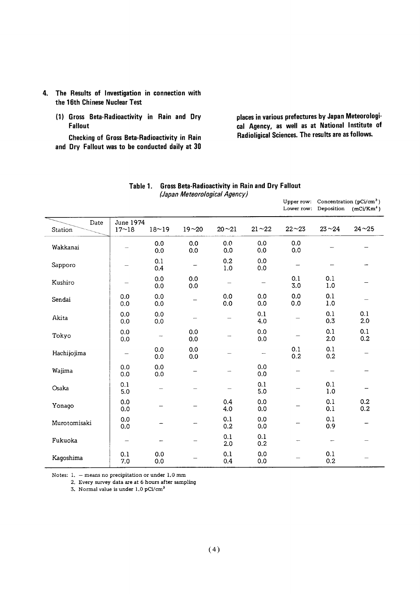- 4. The Results of Investigation in connection with the 16th Chinese Nuclear Test
	- (1) Gross Beta-Radioactivity in Rain and Dry Fallout

Checking of Gross Beta-Radioactivity in Rain and Dry Fallout was to be conducted daily at 30

places in various prefectures by Japan Meteorological Agency, as well as at National Institute of Radioligical Sciences. The results are as follows.

Lower row: Deposition  $(mCi/Km^2)$ 

| Date<br>Station | <b>June 1974</b><br>$17 - 18$ | $18 - 19$  | $19 - 20$  | $20 - 21$      | $21 - 22$      | $22 - 23$  | $23 - 24$    | $24 - 25$  |
|-----------------|-------------------------------|------------|------------|----------------|----------------|------------|--------------|------------|
| Wakkanai        |                               | 0.0<br>0.0 | 0.0<br>0.0 | 0,0<br>0.0     | 0.0<br>0.0     | 0.0<br>0.0 |              |            |
| Sapporo         |                               | 0.1<br>0.4 |            | 0.2<br>$1.0\,$ | 0.0<br>$0.0\,$ |            |              |            |
| Kushiro         |                               | 0.0<br>0.0 | 0.0<br>0.0 |                |                | 0.1<br>3.0 | 0.1<br>$1.0$ |            |
| Sendai          | 0.0<br>0.0                    | 0.0<br>0.0 |            | 0.0<br>0.0     | 0.0<br>0.0     | 0.0<br>0.0 | 0.1<br>1.0   |            |
| Akita           | 0.0<br>0.0                    | 0.0<br>0.0 | -          |                | 0.1<br>4.0     |            | 0.1<br>0.3   | 0.1<br>2.0 |
| Tokyo           | 0.0<br>0.0                    | -          | 0.0<br>0.0 |                | 0.0<br>0.0     |            | 0.1<br>2.0   | 0.1<br>0.2 |
| Hachijojima     |                               | 0.0<br>0.0 | 0.0<br>0.0 |                | -              | 0.1<br>0.2 | 0.1<br>0.2   |            |
| Wajima          | 0.0<br>0.0                    | 0.0<br>0.0 |            |                | 0.0<br>0.0     |            |              |            |
| Osaka           | 0.1<br>5.0                    |            |            |                | 0.1<br>5.0     |            | 0.1<br>$1.0$ |            |
| Yonago          | 0.0<br>0.0                    |            |            | 0.4<br>4.0     | 0.0<br>0.0     |            | 0.1<br>0.1   | 0.2<br>0.2 |
| Murotomisaki    | 0.0<br>0.0                    |            |            | 0.1<br>0.2     | 0.0<br>0.0     |            | 0.1<br>0.9   |            |
| Fukuoka         |                               |            |            | 0.1<br>2.0     | 0.1<br>0.2     |            |              |            |
| Kagoshima       | 0.1<br>7.0                    | 0.0<br>0.0 |            | 0.1<br>0.4     | 0.0<br>0.0     |            | 0.1<br>0.2   |            |

#### Table 1. Gross Beta-Radioactivity in Rain and Dry Fallout (Japan Meteorological Agency) Upper row: Concentration (pCi/cm<sup>3</sup>)

Notes:  $1. -$  means no precipitation or under  $1.0$  mm

2. Every survey data are at 6 hours after sampling

3. Normal value is under 1.0 pCi/cm<sup>3</sup>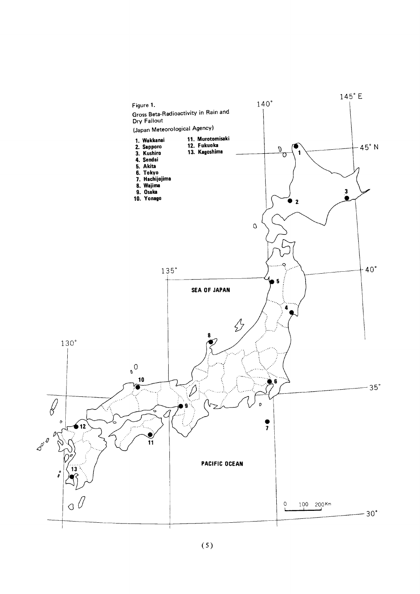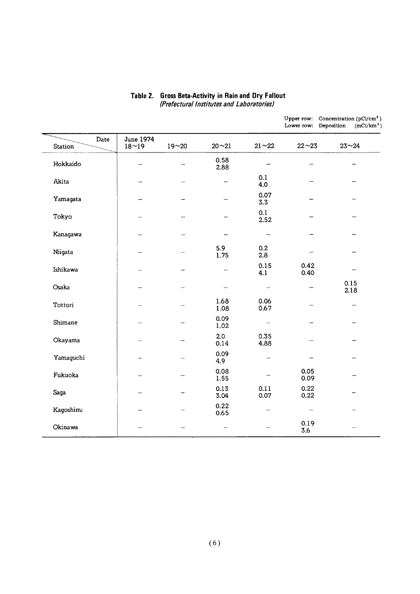| Upper row: Concentration ( $pCi/cm3$ )<br>(mCi/km <sup>2</sup> )<br>Lower row: Deposition |
|-------------------------------------------------------------------------------------------|
| $23 - 24$                                                                                 |
|                                                                                           |
|                                                                                           |
|                                                                                           |
|                                                                                           |
|                                                                                           |
|                                                                                           |
|                                                                                           |
| 0.15<br>2.18                                                                              |
|                                                                                           |
|                                                                                           |
|                                                                                           |
|                                                                                           |
|                                                                                           |
|                                                                                           |
|                                                                                           |
|                                                                                           |
|                                                                                           |

#### Table 2. Gross Beta-Activity in Rain and L (Prefectural Institutes and Laboratories)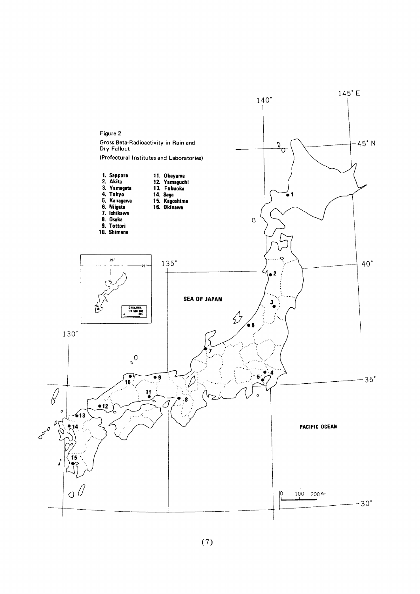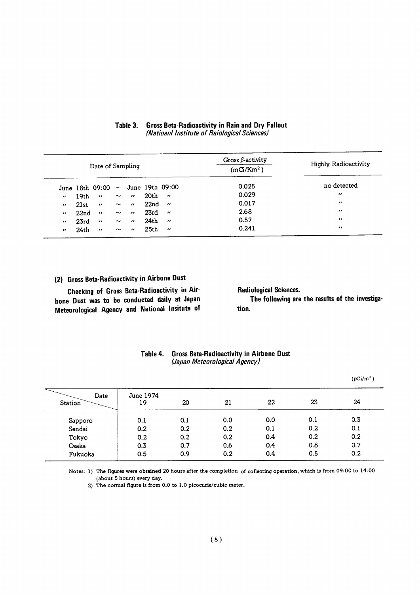|                   | Date of Sampling |                                        |             |                          |                  |                          | Gross $\beta$ -activity<br>(m <sub>C</sub> /Km <sup>2</sup> ) | <b>Highly Radioactivity</b> |
|-------------------|------------------|----------------------------------------|-------------|--------------------------|------------------|--------------------------|---------------------------------------------------------------|-----------------------------|
|                   |                  | June 18th 09:00 $\sim$ June 19th 09:00 |             |                          |                  |                          | 0.025                                                         | no detected                 |
| $^{\prime\prime}$ | 19th             | $\sim 11$                              | $\sim$      | $\mathbf{r}$             | 20th             | $\overline{\mathbf{u}}$  | 0.029                                                         | $^{\prime\prime}$           |
| $\bullet$         | 21st             | $\mathbf{u}$                           | $\sim$      | $\boldsymbol{H}$         | 22nd             | $\overline{\mathbf{r}}$  | 0.017                                                         | $^{\prime}$                 |
| $\bullet$         | 22 <sub>nd</sub> | $\mathbf{H}$                           | $\sim$      | $\overline{\phantom{a}}$ | 23rd             | $\overline{\phantom{a}}$ | 2.68                                                          | $^{\prime\prime}$           |
| $\bullet$         | 23rd             | $\mathbf{r}$                           | $\thicksim$ | $^{\prime\prime}$        | 24 <sub>th</sub> | $\overline{\phantom{a}}$ | 0.57                                                          | $^{\prime\prime}$           |
| $^{\prime\prime}$ | 24 <sub>th</sub> | $\cdots$                               | $\sim$      | $^{\prime\prime}$        | 25 <sub>th</sub> | $\overline{\mathbf{u}}$  | 0.241                                                         | $\cdot$                     |

#### Table 3. **Gross Beta-Radioactivity in Rain and Dry Fallout** (Natioanl Institute of Raiological Sciences)

### (2) Gross Beta-Radioactivity in Airbone Dust

Checking of Gross Beta-Radioactivity in Airbone Dust was to be conducted daily at Japan Meteorological Agency and National Insitute of **Radiological Sciences.** The following are the results of the investigation.

|                        |                 |     |     |     |     | $(pCi/m^3)$      |
|------------------------|-----------------|-----|-----|-----|-----|------------------|
| Date<br><b>Station</b> | June 1974<br>19 | 20  | 21  | 22  | 23  | 24               |
| Sapporo                | 0.1             | 0.1 | 0.0 | 0.0 | 0.1 | 0.3              |
| Sendai                 | 0.2             | 0.2 | 0.2 | 0.1 | 0.2 | 0.1              |
| Tokyo                  | 0.2             | 0.2 | 0.2 | 0.4 | 0.2 | 0.2              |
| Osaka                  | 0.3             | 0.7 | 0.6 | 0.4 | 0.8 | 0.7              |
| Fukuoka                | 0.5             | 0.9 | 0.2 | 0.4 | 0.5 | 0.2 <sub>0</sub> |

#### Table 4. **Gross Beta-Radioactivity in Airbone Dust** (Japan Meteorological Agency)

Notes: 1) The figures were obtained 20 hours after the completion of collecting operation, which is from 09:00 to 14:00 (about 5 hours) every day.

2) The normal figure is from 0.0 to 1.0 picocurie/cubic meter.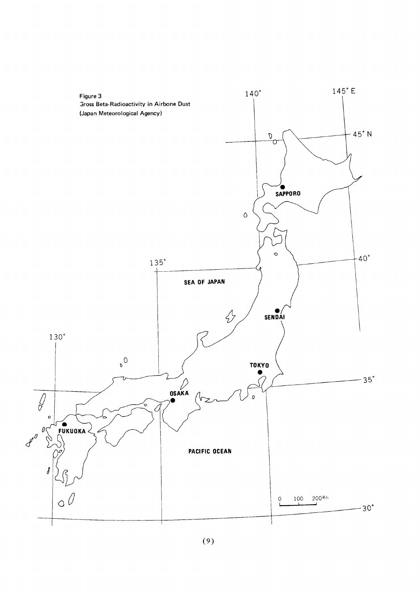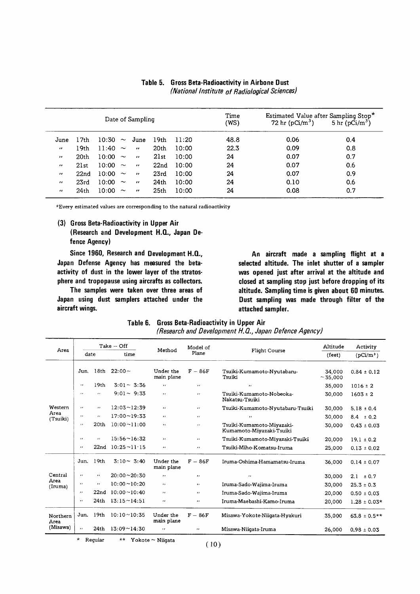|                   |                  |       |                       | Date of Sampling  |                  |       | Time<br>(WS) | Estimated Value after Sampling Stop*<br>72 hr ( $pCi/m^3$ ) | 5 hr $(pCi/m^3)$ |
|-------------------|------------------|-------|-----------------------|-------------------|------------------|-------|--------------|-------------------------------------------------------------|------------------|
| June              | 17th             | 10:30 | $\sim$                | June              | 19th             | 11:20 | 48.8         | 0.06                                                        | 0.4              |
| $^{\prime\prime}$ | 19th             | 11:40 | $\sim$                | $^{\prime}$       | 20th             | 10:00 | 22.3         | 0.09                                                        | 0.8              |
| $\cdots$          | 20th             | 10:00 | $\sim$                | $\cdot$           | 21st             | 10:00 | 24           | 0.07                                                        | 0.7              |
| $\bullet$         | 21st             | 10:00 | $\sim$                | $^{\prime\prime}$ | 22nd             | 10:00 | 24           | 0.07                                                        | 0.6              |
| $^{\prime\prime}$ | 22 <sub>nd</sub> | 10:00 | $\sim$                | $^{\prime\prime}$ | 23rd             | 10:00 | 24           | 0.07                                                        | 0.9              |
| $^{\prime\prime}$ | 23rd             | 10:00 | $\sim$                | $^{\prime\prime}$ | 24 <sub>th</sub> | 10:00 | 24           | 0.10                                                        | 0.6              |
| $^{\prime\prime}$ | 24 <sub>th</sub> | 10:00 | $\tilde{\phantom{a}}$ | $^{\prime\prime}$ | 25 <sub>th</sub> | 10:00 | 24           | 0.08                                                        | 0.7              |

Table 5. Gross Beta-Radioactivity in Airbone Dust (National Institute of Radiological Sciences)

\*Every estimated values are corresponding to the natural radioactivity

(3) Gross Beta-Radioactivity in Upper Air (Research and Development H.Q., Japan Defence Agency)

Since 1960, Research and Development H.Q., Japan Defense Agency has measured the betaactivity of dust in the lower layer of the stratosphere and tropopause using aircrafts as collectors.

The samples were taken over three areas of Japan using dust samplers attached under the aircraft wings.

An aircraft made a sampling flight at a selected altitude. The inlet shutter of a sampler was opened just after arrival at the altitude and closed at sampling stop just before dropping of its altitude. Sampling time is given about 60 minutes. Dust sampling was made through filter of the attached sampler.

| Table 6. Gross Beta-Radioactivity in Upper Air        |
|-------------------------------------------------------|
| (Research and Development H.Q., Japan Defence Agency) |

|                  |                          |                  | $Take - Off$             |                         | Model of                   |                                                       | Altitude        | Activity         |
|------------------|--------------------------|------------------|--------------------------|-------------------------|----------------------------|-------------------------------------------------------|-----------------|------------------|
| Area             | date                     |                  | time                     | Method                  | Plane                      | Flight Course                                         | (feet)          | $(pCi/m^3)$      |
|                  | Jun.                     | 18 <sub>th</sub> | $22:00 \sim$             | Under the<br>main plane | $F - 86F$                  | Tsuiki-Kumamoto-Nyutabaru-<br>Tsuiki                  | 34.000<br>~1000 | $0.84 \pm 0.12$  |
|                  | $\cdot$                  | 19 <sub>th</sub> | $3:01 \sim 3:36$         | $\bullet$               | $\bullet$                  | $\bullet$                                             | 35,000          | $1016 \pm 2$     |
|                  | $\overline{\phantom{a}}$ | $\cdot$          | $9:01 \sim 9:33$         | $\cdot$                 | $\mathbf{r}$               | Tsuiki-Kumamoto-Nobeoka-<br>Nakatsu-Tsuiki            | 30,000          | $1603 \pm 2$     |
| Western          | $\cdot$                  | $\bullet$        | $12:03 \sim 12:39$       | $\bullet$               | $\cdot$                    | Tsuiki-Kumamoto-Nyutabaru-Tsuiki                      | 30,000          | $5.18 \pm 0.4$   |
| Area<br>(Tsuiki) | $\cdot$                  | $\mathbf{r}$     | $17:00 \sim 19:33$       | $\bullet$               | $\bullet$                  | $\boldsymbol{\cdot}$                                  | 30,000          | $8.4 \pm 0.2$    |
|                  | $\mathbf{r}$             | 20th             | $10:00 \sim 11:00$       | $\bullet$               | $\mathcal{L}(\mathcal{E})$ | Tsuiki-Kumamoto-Miyazaki-<br>Kumamoto-Miyazaki-Tsuiki | 30.000          | $0.43 \pm 0.03$  |
|                  | $\mathbf{r}$             | $\cdot$          | $15:56 \sim 16:32$       | $\bullet$               | $\cdots$                   | Tsuiki-Kumamoto-Miyazaki-Tsuiki                       | 20,000          | $19.1 \pm 0.2$   |
|                  | $\cdot$                  | 22nd             | $10:25 \sim 11 \cdot 15$ | $\cdot$                 | $\cdots$                   | Tsuiki-Miho-Komatsu-Iruma                             | 25,000          | $0.13 \pm 0.02$  |
|                  | Jun.                     | 19th             | $3:10 \sim 3:40$         | Under the<br>main plane | $F - 86F$                  | Iruma-Oshima-Hamamatsu-Iruma                          | 36,000          | $0.14 \pm 0.07$  |
| Central          | $\cdot$                  | $\cdots$         | $20:00 \sim 20:30$       | $\cdots$                | $\bullet$                  | $\cdots$                                              | 30,000          | 2.1<br>± 0.7     |
| Area<br>(Iruma)  | $\bullet$                | $\cdots$         | $10:00 \sim 10:20$       | $\mathbf{r}$            | $\bullet$                  | Iruma-Sado-Wajima-Iruma                               | 30,000          | $25.3 \pm 0.3$   |
|                  | $\cdot$                  | 22 <sub>nd</sub> | $10:00 \sim 10:40$       | $\cdot$                 | $\cdot$ $\cdot$            | Iruma-Sado-Wajima-Iruma                               | 20,000          | $0.50 \pm 0.03$  |
|                  | $\cdots$                 | 24th             | $13:15 \sim 14:51$       | $\mathbf{r}$            | $\bullet$                  | Iruma-Maebashi-Kamo-Iruma                             | 20,000          | $1.28 \pm 0.03*$ |
| Northern<br>Area | Jun.                     | 19th             | $10:10 \sim 10:35$       | Under the<br>main plane | $F - 86F$                  | Misawa-Yokote-Niigata-Hyakuri                         | 35,000          | $63.8 \pm 0.5**$ |
| (Misawa)         | $\cdots$                 | 24th             | $13:09 \sim 14:30$       | $\cdot$                 | $^{\prime}$                | Misawa-Niiqata-Iruma                                  | 26,000          | $0.98 \pm 0.03$  |
|                  | *                        | Regular          | $***$                    | Yokote $\sim$ Niigata   | (10)                       |                                                       |                 |                  |

 $(10)$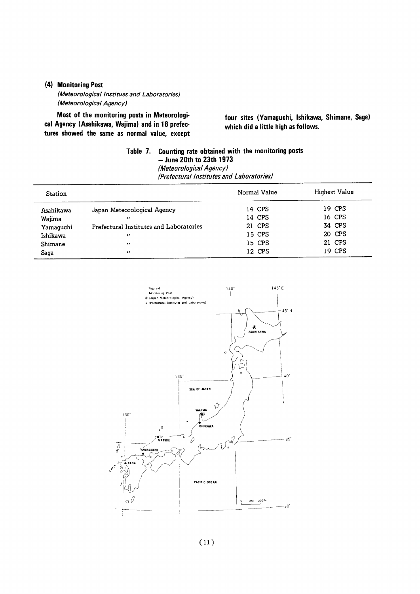#### (4) Monitoring Post

(Meteorological Institues and Laboratories) (Meteorological Agency)

Most of the monitoring posts in Meteorological Agency (Asahikawa, Wajima) and in 18 prefectures showed the same as normal value, except

four sites (Yamaguchi, Ishikawa, Shimane, Saga) which did a little high as follows.

### Table 7. Counting rate obtained with the monitoring posts  $-$  June 20th to 23th 1973 **June 20th to 20th 1973**<br>(Meteorological Agency) (Prefectural Institutes and Laboratories)

| <b>Station</b> |                                         | Normal Value | Highest Value |
|----------------|-----------------------------------------|--------------|---------------|
| Asahikawa      | Japan Meteorological Agency             | 14 CPS       | 19 CPS        |
| Wajima         | $^{\prime}$                             | 14 CPS       | 16 CPS        |
| Yamaquchi      | Prefectural Institutes and Laboratories | 21 CPS       | 34 CPS        |
| Ishikawa       | $^{\prime\prime}$                       | 15 CPS       | 20 CPS        |
| Shimane        | $^{\prime\prime}$                       | 15 CPS       | 21 CPS        |
| Saga           | $^{\prime}$                             | 12 CPS       | 19 CPS        |

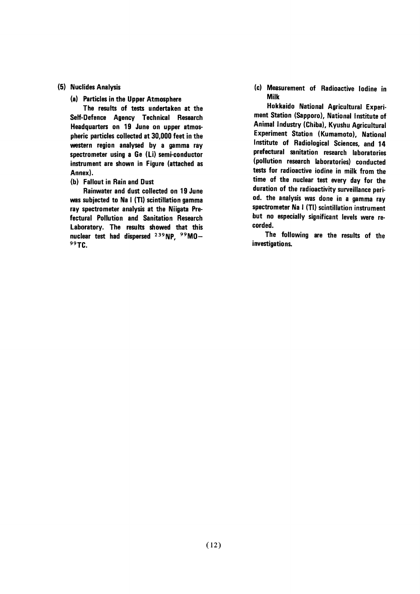#### (5) Nuclides Analysis

(a) Particles in the Upper Atmosphere

The results of tests undertaken at the Self-Defence Agency Technical Research Headquarters on 19 June on upper atmospheric particles collected at 30,000 feet in the western region analysed by a gamma ray spectrometer using a Ge (Li) semi-conductor instrument are shown in Figure (attached as Annex).

(b) Fallout in Rain and Dust

Rainwater and dust collected on 19 June was subjected to Na I (TI) scintillation gamma ray spectrometer analysis at the Niigata Prefectural Pollution and Sanitation Research Laboratory. The results showed that this nuclear test had dispersed <sup>239</sup>NP. <sup>99</sup>MO-99TC.

(c) Measurement of Radioactive lodine in **Milk** 

Hokkaido National Agricultural Experiment Station (Sapporo), National Institute of Animal Industry (Chiba), Kyushu Agricultural Experiment Station (Kumamoto), National Institute of Radiological Sciences, and 14 prefectural sanitation research laboratories (pollution research laboratories) conducted tests for radioactive iodine in milk from the time of the nuclear test every day for the duration of the radioactivity surveillance period. the analysis was done in a gamma ray spectrometer Na I (TI) scintillation instrument but no especially significant levels were recorded.

The following are the results of the investigations.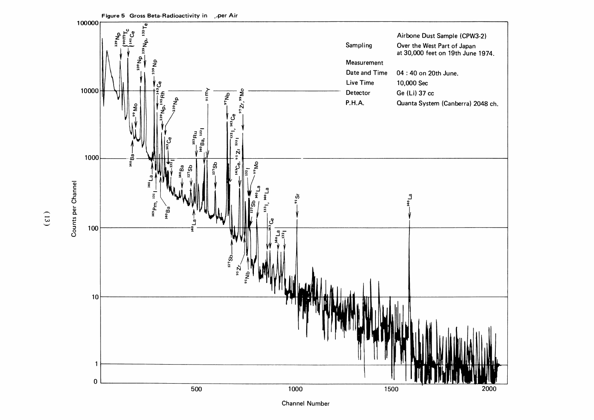

Figure 5 Gross Beta-Radioactivity in per Air

 $(13)$ 

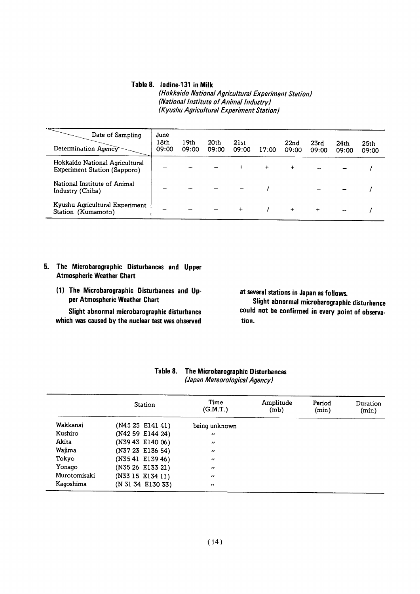#### Table 8. lodine-131 in Milk

(Hokkaido National Agricultural Experiment Station) (National Institute of Animal Industry) (Kyushu Agricultural Experiment Station)

| Date of Sampling<br>Determination Agency                              | June<br>18th<br>09:00 | 19th<br>09:00 | 20th<br>09:00 | 21st<br>09:00 | 17:00       | 22 <sub>nd</sub><br>09:00 | 23rd<br>09:00 | 24th<br>09:00 | 25 <sub>th</sub><br>09:00 |
|-----------------------------------------------------------------------|-----------------------|---------------|---------------|---------------|-------------|---------------------------|---------------|---------------|---------------------------|
| Hokkaido National Agricultural<br><b>Experiment Station (Sapporo)</b> |                       |               |               | $\ddot{}$     | $\ddotmark$ | $\ddot{}$                 |               |               |                           |
| National Institute of Animal<br>Industry (Chiba)                      |                       |               |               |               |             |                           |               |               |                           |
| Kyushu Agricultural Experiment<br>Station (Kumamoto)                  |                       |               |               | $\ddot{}$     |             | $\ddot{}$                 | $\ddot{}$     |               |                           |

#### 5. The Microbarographic Disturbances and Upper Atmospheric Weather Chart

(1) The Microbarographic Disturbances and Upper Atmospheric Weather Chart

Slight abnormal microbarographic disturbance which was caused by the nuclear test was observed at several stations in Japan as follows.

Slight abnormal microbarographic disturbance could not be confirmed in every point of observation.

|              | Station           | Time<br>(G.M.T.)  | Amplitude<br>(mb) | Period<br>(min) | Duration<br>(min) |
|--------------|-------------------|-------------------|-------------------|-----------------|-------------------|
| Wakkanai     | $(N4525$ E141 41) | being unknown     |                   |                 |                   |
| Kushiro      | (N42 59 E144 24)  | $^{\prime\prime}$ |                   |                 |                   |
| Akita        | (N3943 E140 06)   | $^{\prime\prime}$ |                   |                 |                   |
| Wajima       | (N37 23 E136 54)  | $^{\prime\prime}$ |                   |                 |                   |
| Tokyo        | $(N3541$ E139 46) | $^{\prime\prime}$ |                   |                 |                   |
| Yonago       | (N35 26 E133 21)  | $^{\prime\prime}$ |                   |                 |                   |
| Murotomisaki | (N33 15 E134 11)  | $\cdot$           |                   |                 |                   |
| Kagoshima    | (N 31 34 E130 33) | $^{\prime\prime}$ |                   |                 |                   |

#### Table 8. The Microbarographic Disturbances (Japan Meteorological Agency)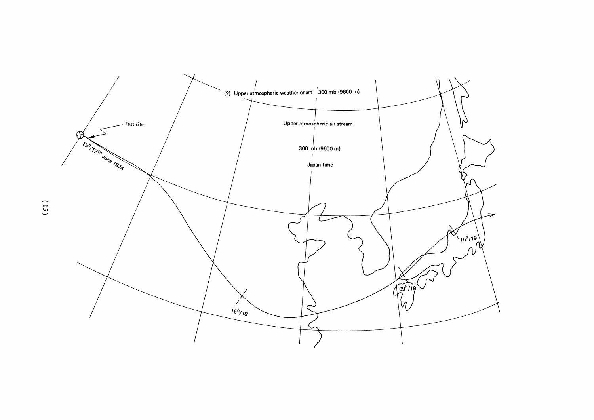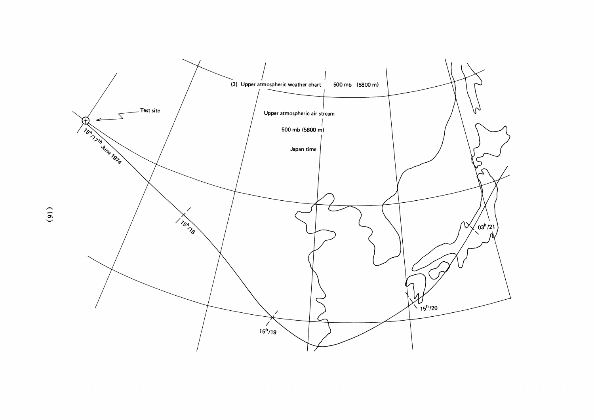

 $(91)$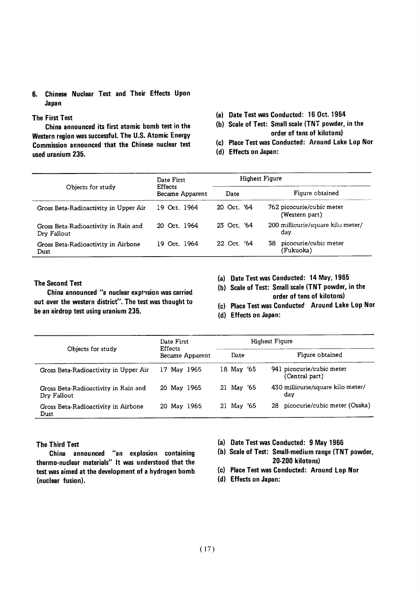#### 6.Chinese Nuclear Test and Their Effects Upon Japan

#### **The First Test**

China announced its first atomic bomb test in the Western region was successful. The U.S. Atomic Energy Commission announced that the Chinese nuclear test used uranium 235.

- (a) Date Test was Conducted: 16 Oct. 1964
- (b) Scale of Test: Small scale (TNT powder, in the order of tens of kilotons)
- (c) Place Test was Conducted: Around Lake Lop Nor
- (d) Effects on Japan:

|                                                     | Date First<br><b>Effects</b><br>Became Apparent |             | Highest Figure                              |
|-----------------------------------------------------|-------------------------------------------------|-------------|---------------------------------------------|
| Objects for study                                   |                                                 | Date        | Figure obtained                             |
| Gross Beta-Radioactivity in Upper Air               | 19 Oct. 1964                                    | 20 Oct. '64 | 762 picocurie/cubic meter<br>(Western part) |
| Gross Beta-Radioactivity in Rain and<br>Dry Fallout | 20 Oct 1964                                     | 23 Oct. '64 | 200 millicurie/square kilo meter/<br>dav    |
| Gross Beta-Radioactivity in Airbone<br>Dust         | 19 Oct. 1964                                    | 22 Oct. '64 | picocurie/cubic meter<br>38<br>(Fukuoka)    |

#### **The Second Test**

China announced "a nuclear expInsion was carried out over the western district". The test was thought to be an airdrop test using uranium 235.

- (a) Date Test was Conducted: 14 May, 1965
- (b) Scale of Test: Small scale (TNT powder, in the order of tens of kilotons)
- (c) Place Test was Conducted Around Lake Lop Nor
- (d) Effects on Japan:

|                                                     | Date First<br><b>Effects</b><br>Became Apparent |            | Highest Figure                              |
|-----------------------------------------------------|-------------------------------------------------|------------|---------------------------------------------|
| Objects for study                                   |                                                 | Date       | Figure obtained                             |
| Gross Beta-Radioactivity in Upper Air               | 17 May 1965                                     | 18 May '65 | 941 picocurie/cubic meter<br>(Central part) |
| Gross Beta-Radioactivity in Rain and<br>Dry Fallout | 20 May 1965                                     | 21 May '65 | 430 millicurie/square kilo meter/<br>dav    |
| Gross Beta-Radioactivity in Airbone<br>Dust         | 20 May 1965                                     | 21 May '65 | picocurie/cubic meter (Osaka)<br>28.        |

#### The Third Test

China announced "an explosion containing thermo-nuclear materials" It was understood that the test was aimed at the development of a hydrogen bomb (nuclear fusion).

- (a) Date Test was Conducted: 9 May 1966
- (b) Scale of Test: Small-medium range (TNT powder, 20-200 kilotons)
- (c) Place Test was Conducted: Around Lop Nor
- (d) Effects on Japan: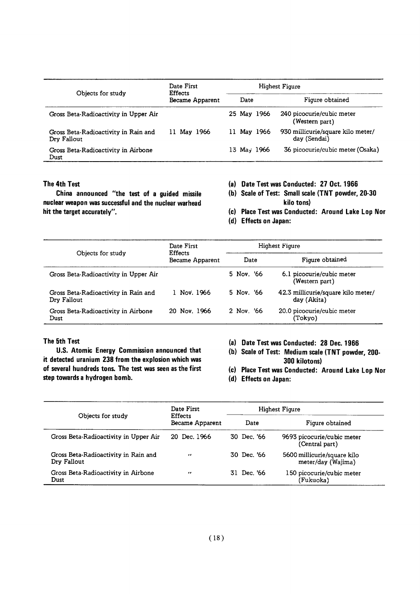| Objects for study                                   | Date First<br><b>Effects</b><br>Became Apparent |             | Highest Figure                                    |
|-----------------------------------------------------|-------------------------------------------------|-------------|---------------------------------------------------|
|                                                     |                                                 | Date        | Figure obtained                                   |
| Gross Beta-Radioactivity in Upper Air               |                                                 | 25 May 1966 | 240 picocurie/cubic meter<br>(Western part)       |
| Gross Beta-Radioactivity in Rain and<br>Dry Fallout | 11 May 1966                                     | 11 May 1966 | 930 millicurie/square kilo meter/<br>day (Sendai) |
| Gross Beta-Radioactivity in Airbone<br>Dust         |                                                 | 13 May 1966 | 36 picocurie/cubic meter (Osaka)                  |

#### The 4th Test

China announced "the test of a guided missile nuclear weapon was successful and the nuclear warhead hit the target accurately".

- (a) Date Test was Conducted: 27 Oct. 1966
- (b) Scale of Test: Small scale (TNT powder, 20-30 kilo tons)
- (c) Place Test was Conducted: Around Lake Lop Nor
- (d) Effects on Japan:

| Objects for study                                   | Date First<br><b>Effects</b><br>Became Apparent |            | <b>Highest Figure</b>                             |
|-----------------------------------------------------|-------------------------------------------------|------------|---------------------------------------------------|
|                                                     |                                                 | Date       | Figure obtained                                   |
| Gross Beta-Radioactivity in Upper Air               |                                                 | 5 Nov. '66 | 6.1 picocurie/cubic meter<br>(Western part)       |
| Gross Beta-Radioactivity in Rain and<br>Dry Fallout | 1 Nov. 1966                                     | 5 Nov. '66 | 42.3 millicurie/square kilo meter/<br>day (Akita) |
| Gross Beta-Radioactivity in Airbone<br>Dust         | 20 Nov. 1966                                    | 2 Nov. '66 | 20.0 picocurie/cubic meter<br>(Tokyo)             |

#### The 5th Test

U.S. Atomic Energy Commission announced that it detected uranium 238 from the explosion which was of several hundreds tons. The test was seen as the first step towards a hydrogen bomb.

- (a) Date Test was Conducted: 28 Dec. 1966
- (b) Scale of Test: Medium scale (TNT powder, 200-300 kilotons)
- (c) Place Test was Conducted: Around Lake Lop Nor
- (d) Effects on Japan:

| Objects for study                                   | Date First<br><b>Effects</b><br>Became Apparent | Highest Figure |                                                   |
|-----------------------------------------------------|-------------------------------------------------|----------------|---------------------------------------------------|
|                                                     |                                                 | Date           | Figure obtained                                   |
| Gross Beta-Radioactivity in Upper Air               | 20 Dec. 1966                                    | 30 Dec. '66    | 9693 picocurie/cubic meter<br>(Central part)      |
| Gross Beta-Radioactivity in Rain and<br>Dry Fallout | $\bullet$                                       | 30 Dec. '66    | 5600 millicurie/square kilo<br>meter/day (Wajima) |
| Gross Beta-Radioactivity in Airbone<br>Dust         | ,,                                              | 31 Dec. '66    | 150 picocurie/cubic meter<br>(Fukuoka)            |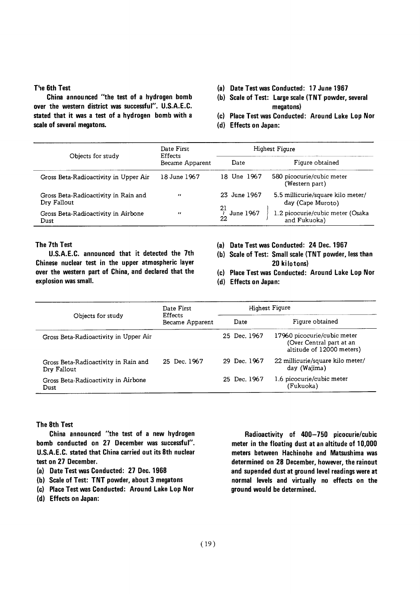#### The 6th Test

China announced "the test of a hydrogen bomb over the western district was successful". U.S.A.E.C. stated that it was a test of a hydrogen bomb with a scale of several megatons.

- (a) Date Test was Conducted: 17 June 1967
- (b) Scale of Test: Large scale (TNT powder, several megatons)
- (c) Place Test was Conducted: Around Lake Lop Nor
- (d) Effects on Japan:

| Objects for study                                   | Date First<br><b>Effects</b><br>Became Apparent | Highest Figure                     |                                                        |
|-----------------------------------------------------|-------------------------------------------------|------------------------------------|--------------------------------------------------------|
|                                                     |                                                 | Date                               | Figure obtained                                        |
| Gross Beta-Radioactivity in Upper Air               | 18 June 1967                                    | 18 Une 1967                        | 580 picocurie/cubic meter<br>(Western part)            |
| Gross Beta-Radioactivity in Rain and<br>Dry Fallout | $\bullet$                                       | 23 June 1967                       | 5.5 millicurie/square kilo meter/<br>day (Cape Muroto) |
| Gross Beta-Radioactivity in Airbone<br>Dust         | $^{\prime\prime}$                               | $\overline{\iota}$ June 1967<br>22 | 1.2 picocurie/cubic meter (Osaka<br>and Fukuoka)       |

#### The 7th Test

U.S.A.E.C. announced that it detected the 7th Chinese nuclear test in the upper atmospheric layer over the western part of China, and declared that the explosion was small.

- (a) Date Test was Conducted: 24 Dec. 1967
- (b) Scale of Test: Small scale (TNT powder, less than 20 kilotons)
- (c) Place Test was Conducted: Around Lake Lop Nor
- (d) Effects on Japan:

| Objects for study                                   | Date First<br>Effects<br>Became Apparent |              | Highest Figure                                                                       |
|-----------------------------------------------------|------------------------------------------|--------------|--------------------------------------------------------------------------------------|
|                                                     |                                          | Date         | Figure obtained                                                                      |
| Gross Beta-Radioactivity in Upper Air               |                                          | 25 Dec. 1967 | 17960 picocurie/cubic meter<br>(Over Central part at an<br>altitude of 12000 meters) |
| Gross Beta-Radioactivity in Rain and<br>Dry Fallout | 25 Dec. 1967                             | 29 Dec. 1967 | 22 millicurie/square kilo meter/<br>day (Wajima)                                     |
| Gross Beta-Radioactivity in Airbone<br>Dust         |                                          | 25 Dec. 1967 | 1.6 picocurie/cubic meter<br>(Fukuoka)                                               |

#### The 8th Test

China announced "the test of a new hydrogen bomb conducted on 27 December was successful". U.S.A.E.C. stated that China carried out its 8th nuclear test on 27 December.

- (a) Date Test was Conducted: 27 Dec. 1968
- (b) Scale of Test: TNT powder, about 3 megatons
- (c) Place Test was Conducted: Around Lake Lop Nor
- (d) Effects on Japan:

Radioactivity of 400-750 picocurie/cubic meter in the floating dust at an altitude of 10,000 meters between Hachinohe and Matsushima was determined on 28 December, however, the rainout and supended dust at ground level readings were at normal levels and virtually no effects on the ground would be determined.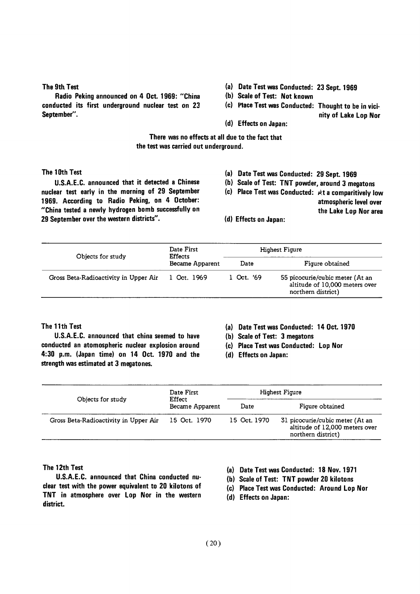#### The 9th Test

Radio Peking announced on 4 Oct. 1969: "China conducted its first underground nuclear test on 23 September".

- (a) Date Test was Conducted: 23 Sept. 1969
- (b) Scale of Test: Not known
- (c) Place Test was Conducted: Thought to be in vicinity of Lake Lop Nor
- (d) Effects on Japan:

There was no effects at all due to the fact that the test was carried out underground.

#### The 10th Test

U.S.A.E.C. announced that it detected a Chinese nuclear test early in the morning of 29 September 1969. According to Radio Peking, on 4 October: "China tested a newly hydrogen bomb successfully on 29 September over the western districts".

- (a) Date Test was Conducted: 29 Sept. 1969
- (b) Scale of Test: TNT powder, around 3 megatons
- (c) Place Test was Conducted: At a comparitively low

atmospheric level over

- the Lake Lop Nor area
- (d) Effects on Japan:

| Objects for study                     | Date First<br><b>Effects</b><br>Became Apparent | Highest Figure |                                                                                         |
|---------------------------------------|-------------------------------------------------|----------------|-----------------------------------------------------------------------------------------|
|                                       |                                                 | Date           | Figure obtained                                                                         |
| Gross Beta-Radioactivity in Upper Air | 1 Oct. 1969                                     | 1 Oct. '69     | 55 picocurie/cubic meter (At an<br>altitude of 10,000 meters over<br>northern district) |

The 11th Test

U.S.A.E.C. announced that china seemed to have conducted an atomospheric nuclear explosion around 4:30 p.m. (Japan time) on 14 Oct. 1970 and the strength was estimated at 3 megatones.

- (a) Date Test was Conducted: 14 Oct. 1970
- (b) Scale of Test: 3 megatons
- (c) Place Test was Conducted: Lop Nor
- (d) Effects on Japan:

| Objects for study                     | Date First<br>Effect<br>Became Apparent |              | Highest Figure                                                                          |
|---------------------------------------|-----------------------------------------|--------------|-----------------------------------------------------------------------------------------|
|                                       |                                         | Date         | Figure obtained                                                                         |
| Gross Beta-Radioactivity in Upper Air | 15 Oct. 1970                            | 15 Oct. 1970 | 31 picocurie/cubic meter (At an<br>altitude of 12,000 meters over<br>northern district) |

#### The 12th Test

U.S.A.E.C. announced that China conducted nuclear test with the power equivalent to 20 kilotons of TNT in atmosphere over Lop Nor in the western district.

- (a) Date Test was Conducted: 18 Nov. 1971
- (b) Scale of Test: TNT powder 20 kilotons
- (c) Place Test was Conducted: Around Lop Nor
- (d) Effects on Japan: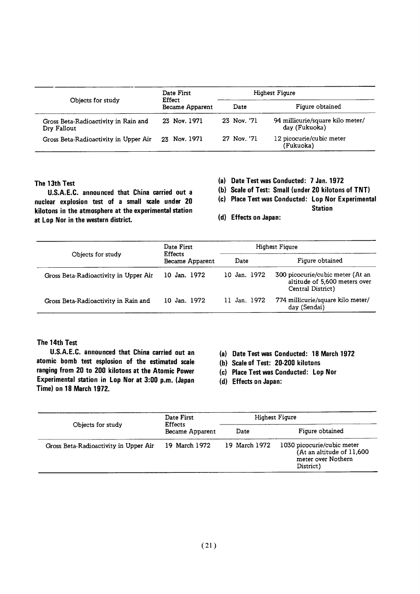| Objects for study                                   | Date First<br>Effect<br>Became Apparent | Highest Figure |                                                   |
|-----------------------------------------------------|-----------------------------------------|----------------|---------------------------------------------------|
|                                                     |                                         | Date           | Figure obtained                                   |
| Gross Beta-Radioactivity in Rain and<br>Dry Fallout | 23 Nov. 1971                            | 23 Nov. '71    | 94 millicurie/square kilo meter/<br>day (Fukuoka) |
| Gross Beta-Radioactivity in Upper Air               | 23 Nov. 1971                            | 27 Nov. '71    | 12 picocurie/cubic meter<br>(Fukuoka)             |

#### The 13th Test

U.S.A.E.C. announced that China carried out a nuclear explosion test of a small scale under 20 kilotons in the atmosphere at the experimental station at Lop Nor in the western district.

- (a) Date Test was Conducted: 7 Jan. 1972
- (b) Scale of Test: Small (under 20 kilotons of TNT)
- (c) Place Test was Conducted: Lop Nor Experimental

**Station** 

- (d) Effects on Japan:
- Highest Figure Date First Objects for study Effects Figure obtained Became Apparent Date Gross Beta-Radioactivity in Upper Air 10 Jan. 1972 10 Jan. 1972 300 picocurie/cubic meter (At an altitude of 5,600 meters over Central District) Gross Beta-Radioactivity in Rain and 10 Jan. 1972 11 Jan. 1972 774 millicurie/square kilo meter/ day (Sendai)

#### The 14th Test

U.S.A.E.C. announced that China carried out an atomic bomb test esplosion of the estimated scale ranging from 20 to 200 kilotons at the Atomic Power Experimental station in Lop Nor at 3:00 p.m. (Japan Time) on 18 March 1972.

- (a) Date Test was Conducted: 18 March 1972
- (h) Scale of Test: 20-200 kilotons
- (c) Place Test was Conducted: Lop Nor
- (d) Effects on Japan:

| Objects for study                     | Date First<br><b>Effects</b><br>Became Apparent | Highest Figure |                                                                                            |
|---------------------------------------|-------------------------------------------------|----------------|--------------------------------------------------------------------------------------------|
|                                       |                                                 | Date           | Figure obtained                                                                            |
| Gross Beta-Radioactivity in Upper Air | 19 March 1972                                   | 19 March 1972  | 1030 picocurie/cubic meter<br>(At an altitude of 11,600<br>meter over Nothern<br>District) |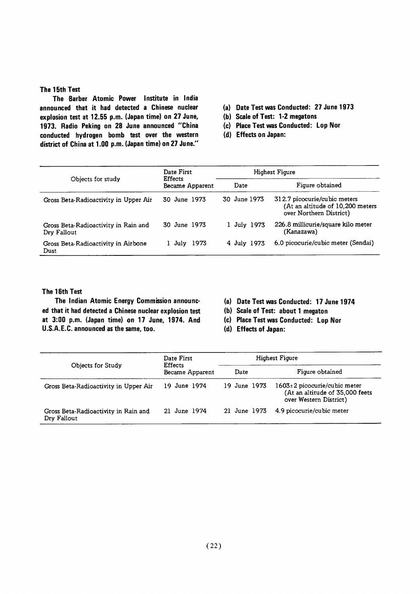#### The 15th Test

The Barber Atomic Power Institute in India announced that it had detected a Chinese nuclear explosion test at 12.55 p.m. (Japan time) on 27 June, 1973. Radio Peking on 28 June announced "China COnducted hydrogen bomb test over the western district of China at 1.00 p.m. (Japan time) on 27 June."

- (a) Date Test was Conducted: 27 June 1973
- (b) Scale of Test: 1-2 megatons
- (c) Place Test was Conducted: Lop Nor
- (d) Effects on Japan:

| Objects for study                                   | Date First<br><b>Effects</b><br>Became Apparent |              | Highest Figure                                                                              |
|-----------------------------------------------------|-------------------------------------------------|--------------|---------------------------------------------------------------------------------------------|
|                                                     |                                                 | Date         | Figure obtained                                                                             |
| Gross Beta-Radioactivity in Upper Air               | 30 June 1973                                    | 30 June 1973 | 312.7 picocurie/cubic meters<br>(At an altitude of 10,200 meters<br>over Northern District) |
| Gross Beta-Radioactivity in Rain and<br>Dry Fallout | 30 June 1973                                    | 1 July 1973  | 226.8 millicurie/square kilo meter<br>(Kanazawa)                                            |
| Gross Beta-Radioactivity in Airbone<br>Dust         | 1 July 1973                                     | 4 July 1973  | 6.0 picocurie/cubic meter (Sendai)                                                          |

#### The 16th Test

The Indian Atomic Energy Commission announced that it had detected a Chinese nuclear explosion test at 3:00 p.m. (Japan time) on 17 June, 1974. And U.S.A.E.C. announced as the same, too.

(a) Date Test was Conducted: 17 June 1974

(b) Scale of Test: about 1 megaton

- (c) Place Test was Conducted: Lop Nor
- (d) Effects of Japan:

|                                                     | Date First<br><b>Effects</b><br>Became Apparent | Highest Figure |                                                                                                 |
|-----------------------------------------------------|-------------------------------------------------|----------------|-------------------------------------------------------------------------------------------------|
| Objects for Study                                   |                                                 | Date           | Figure obtained                                                                                 |
| Gross Beta-Radioactivity in Upper Air               | 19 June 1974                                    | 19 June 1973   | $1603 \pm 2$ picocurie/cubic meter<br>(At an altitude of 35,000 feets<br>over Western District) |
| Gross Beta-Radioactivity in Rain and<br>Dry Fallout | 21 June 1974                                    | 21 June 1973   | 4.9 picocurie/cubic meter                                                                       |